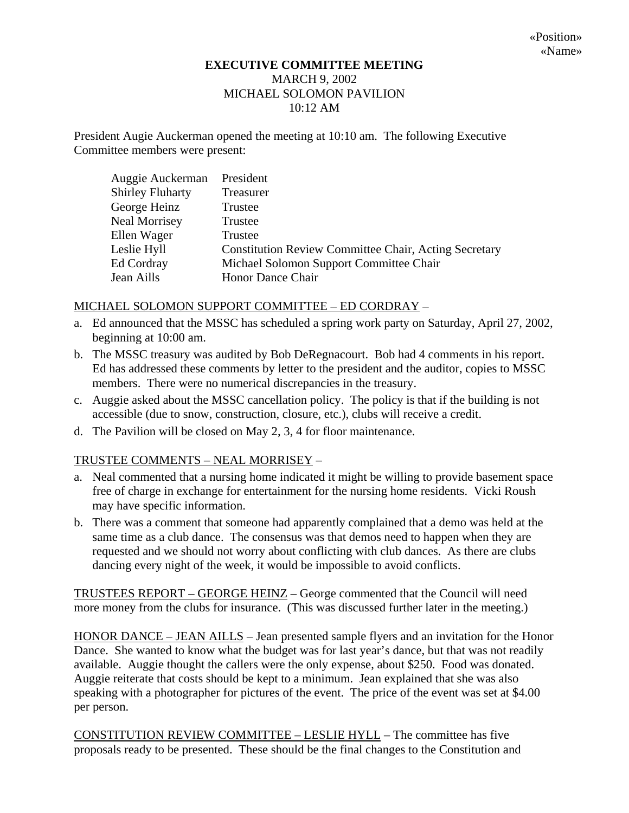## **EXECUTIVE COMMITTEE MEETING**  MARCH 9, 2002 MICHAEL SOLOMON PAVILION 10:12 AM

President Augie Auckerman opened the meeting at 10:10 am. The following Executive Committee members were present:

| Auggie Auckerman        | President                                                    |
|-------------------------|--------------------------------------------------------------|
| <b>Shirley Fluharty</b> | Treasurer                                                    |
| George Heinz            | Trustee                                                      |
| <b>Neal Morrisey</b>    | Trustee                                                      |
| Ellen Wager             | Trustee                                                      |
| Leslie Hyll             | <b>Constitution Review Committee Chair, Acting Secretary</b> |
| Ed Cordray              | Michael Solomon Support Committee Chair                      |
| Jean Aills              | Honor Dance Chair                                            |

## MICHAEL SOLOMON SUPPORT COMMITTEE – ED CORDRAY –

- a. Ed announced that the MSSC has scheduled a spring work party on Saturday, April 27, 2002, beginning at 10:00 am.
- b. The MSSC treasury was audited by Bob DeRegnacourt. Bob had 4 comments in his report. Ed has addressed these comments by letter to the president and the auditor, copies to MSSC members. There were no numerical discrepancies in the treasury.
- c. Auggie asked about the MSSC cancellation policy. The policy is that if the building is not accessible (due to snow, construction, closure, etc.), clubs will receive a credit.
- d. The Pavilion will be closed on May 2, 3, 4 for floor maintenance.

## TRUSTEE COMMENTS – NEAL MORRISEY –

- a. Neal commented that a nursing home indicated it might be willing to provide basement space free of charge in exchange for entertainment for the nursing home residents. Vicki Roush may have specific information.
- b. There was a comment that someone had apparently complained that a demo was held at the same time as a club dance. The consensus was that demos need to happen when they are requested and we should not worry about conflicting with club dances. As there are clubs dancing every night of the week, it would be impossible to avoid conflicts.

TRUSTEES REPORT – GEORGE HEINZ – George commented that the Council will need more money from the clubs for insurance. (This was discussed further later in the meeting.)

HONOR DANCE – JEAN AILLS – Jean presented sample flyers and an invitation for the Honor Dance. She wanted to know what the budget was for last year's dance, but that was not readily available. Auggie thought the callers were the only expense, about \$250. Food was donated. Auggie reiterate that costs should be kept to a minimum. Jean explained that she was also speaking with a photographer for pictures of the event. The price of the event was set at \$4.00 per person.

CONSTITUTION REVIEW COMMITTEE – LESLIE HYLL – The committee has five proposals ready to be presented. These should be the final changes to the Constitution and